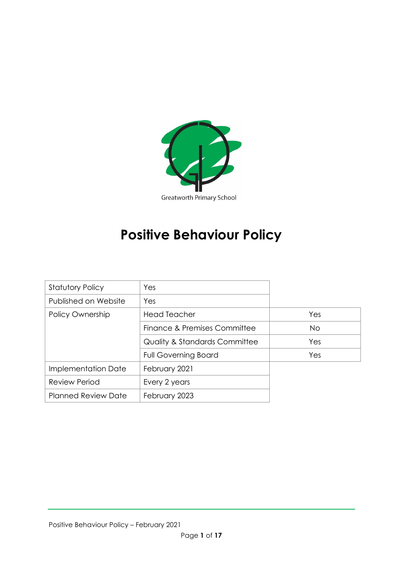

# **Positive Behaviour Policy**

| <b>Statutory Policy</b>    | Yes                                      |           |
|----------------------------|------------------------------------------|-----------|
| Published on Website       | Yes                                      |           |
| Policy Ownership           | <b>Head Teacher</b>                      | Yes       |
|                            | Finance & Premises Committee             | <b>No</b> |
|                            | <b>Quality &amp; Standards Committee</b> | Yes       |
|                            | <b>Full Governing Board</b>              | Yes       |
| Implementation Date        | February 2021                            |           |
| <b>Review Period</b>       | Every 2 years                            |           |
| <b>Planned Review Date</b> | February 2023                            |           |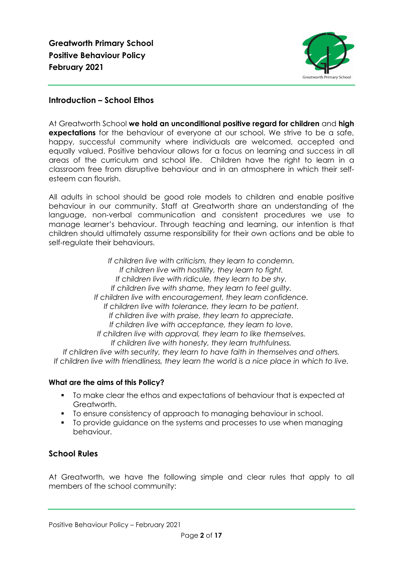

# **Introduction – School Ethos**

At Greatworth School **we hold an unconditional positive regard for children** and **high expectations** for the behaviour of everyone at our school. We strive to be a safe, happy, successful community where individuals are welcomed, accepted and equally valued. Positive behaviour allows for a focus on learning and success in all areas of the curriculum and school life. Children have the right to learn in a classroom free from disruptive behaviour and in an atmosphere in which their selfesteem can flourish.

All adults in school should be good role models to children and enable positive behaviour in our community. Staff at Greatworth share an understanding of the language, non-verbal communication and consistent procedures we use to manage learner's behaviour. Through teaching and learning, our intention is that children should ultimately assume responsibility for their own actions and be able to self-regulate their behaviours.

*If children live with criticism, they learn to condemn. If children live with hostility, they learn to fight. If children live with ridicule, they learn to be shy. If children live with shame, they learn to feel guilty. If children live with encouragement, they learn confidence. If children live with tolerance, they learn to be patient. If children live with praise, they learn to appreciate. If children live with acceptance, they learn to love. If children live with approval, they learn to like themselves. If children live with honesty, they learn truthfulness. If children live with security, they learn to have faith in themselves and others.*

*If children live with friendliness, they learn the world is a nice place in which to live.*

## **What are the aims of this Policy?**

- To make clear the ethos and expectations of behaviour that is expected at Greatworth.
- To ensure consistency of approach to managing behaviour in school.
- To provide guidance on the systems and processes to use when managing behaviour.

# **School Rules**

At Greatworth, we have the following simple and clear rules that apply to all members of the school community: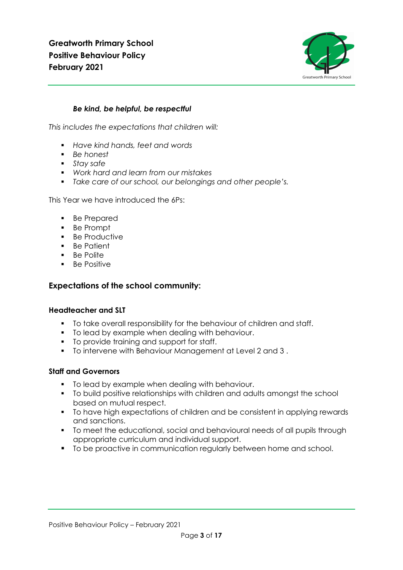

# *Be kind, be helpful, be respectful*

*This includes the expectations that children will:*

- *Have kind hands, feet and words*
- *Be honest*
- *Stay safe*
- *Work hard and learn from our mistakes*
- *Take care of our school, our belongings and other people's.*

This Year we have introduced the 6Ps:

- Be Prepared
- Be Prompt
- Be Productive
- Be Patient
- Be Polite
- Be Positive

## **Expectations of the school community:**

#### **Headteacher and SLT**

- To take overall responsibility for the behaviour of children and staff.
- To lead by example when dealing with behaviour.
- To provide training and support for staff.
- To intervene with Behaviour Management at Level 2 and 3 .

#### **Staff and Governors**

- To lead by example when dealing with behaviour.
- To build positive relationships with children and adults amongst the school based on mutual respect.
- To have high expectations of children and be consistent in applying rewards and sanctions.
- To meet the educational, social and behavioural needs of all pupils through appropriate curriculum and individual support.
- To be proactive in communication regularly between home and school.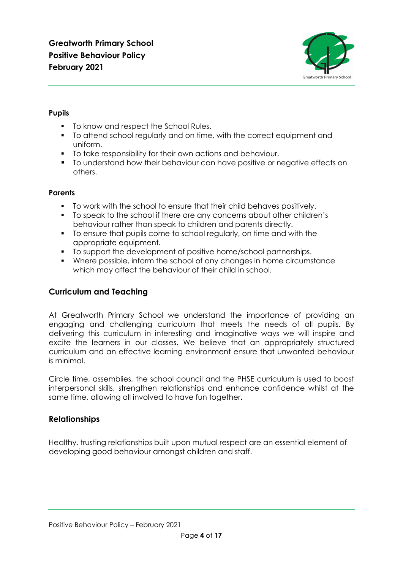

# **Pupils**

- To know and respect the School Rules.
- To attend school regularly and on time, with the correct equipment and uniform.
- To take responsibility for their own actions and behaviour.
- To understand how their behaviour can have positive or negative effects on others.

## **Parents**

- To work with the school to ensure that their child behaves positively.
- To speak to the school if there are any concerns about other children's behaviour rather than speak to children and parents directly.
- To ensure that pupils come to school regularly, on time and with the appropriate equipment.
- To support the development of positive home/school partnerships.
- Where possible, inform the school of any changes in home circumstance which may affect the behaviour of their child in school.

# **Curriculum and Teaching**

At Greatworth Primary School we understand the importance of providing an engaging and challenging curriculum that meets the needs of all pupils. By delivering this curriculum in interesting and imaginative ways we will inspire and excite the learners in our classes. We believe that an appropriately structured curriculum and an effective learning environment ensure that unwanted behaviour is minimal.

Circle time, assemblies, the school council and the PHSE curriculum is used to boost interpersonal skills, strengthen relationships and enhance confidence whilst at the same time, allowing all involved to have fun together**.** 

# **Relationships**

Healthy, trusting relationships built upon mutual respect are an essential element of developing good behaviour amongst children and staff.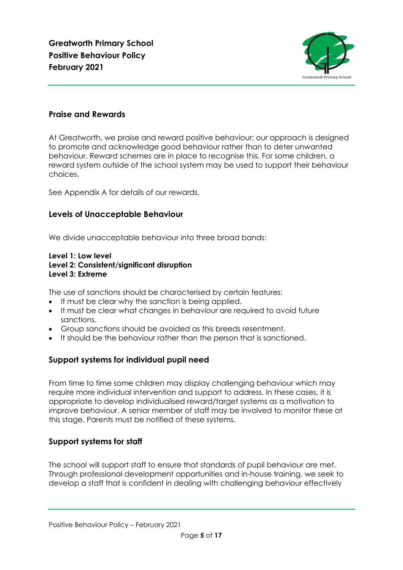

# **Praise and Rewards**

At Greatworth, we praise and reward positive behaviour; our approach is designed to promote and acknowledge good behaviour rather than to deter unwanted behaviour. Reward schemes are in place to recognise this. For some children, a reward system outside of the school system may be used to support their behaviour choices.

See Appendix A for details of our rewards.

# **Levels of Unacceptable Behaviour**

We divide unacceptable behaviour into three broad bands:

## **Level 1: Low level Level 2: Consistent/significant disruption Level 3: Extreme**

The use of sanctions should be characterised by certain features:

- It must be clear why the sanction is being applied.
- It must be clear what changes in behaviour are required to avoid future sanctions.
- Group sanctions should be avoided as this breeds resentment.
- It should be the behaviour rather than the person that is sanctioned.

# **Support systems for individual pupil need**

From time to time some children may display challenging behaviour which may require more individual intervention and support to address. In these cases, it is appropriate to develop individualised reward/target systems as a motivation to improve behaviour. A senior member of staff may be involved to monitor these at this stage. Parents must be notified of these systems.

# **Support systems for staff**

The school will support staff to ensure that standards of pupil behaviour are met. Through professional development opportunities and in-house training, we seek to develop a staff that is confident in dealing with challenging behaviour effectively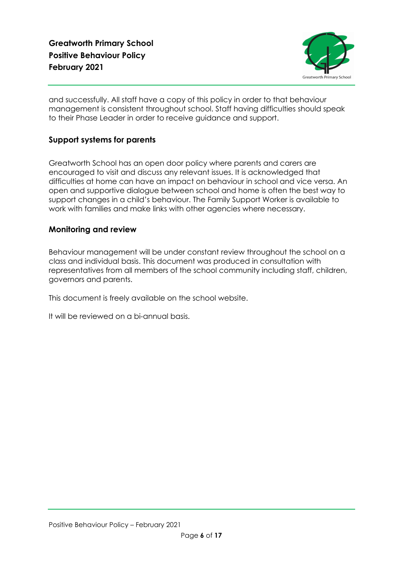

and successfully. All staff have a copy of this policy in order to that behaviour management is consistent throughout school. Staff having difficulties should speak to their Phase Leader in order to receive guidance and support.

# **Support systems for parents**

Greatworth School has an open door policy where parents and carers are encouraged to visit and discuss any relevant issues. It is acknowledged that difficulties at home can have an impact on behaviour in school and vice versa. An open and supportive dialogue between school and home is often the best way to support changes in a child's behaviour. The Family Support Worker is available to work with families and make links with other agencies where necessary.

# **Monitoring and review**

Behaviour management will be under constant review throughout the school on a class and individual basis. This document was produced in consultation with representatives from all members of the school community including staff, children, governors and parents.

This document is freely available on the school website.

It will be reviewed on a bi-annual basis.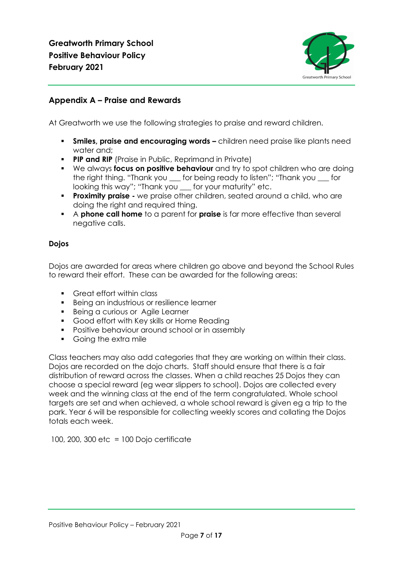

# **Appendix A – Praise and Rewards**

At Greatworth we use the following strategies to praise and reward children.

- **Smiles, praise and encouraging words –** children need praise like plants need water and;
- **PIP and RIP** (Praise in Public, Reprimand in Private)
- We always **focus on positive behaviour** and try to spot children who are doing the right thing. "Thank you \_\_\_ for being ready to listen"; "Thank you \_\_\_ for looking this way"; "Thank you \_\_\_ for your maturity" etc.
- **Proximity praise** we praise other children, seated around a child, who are doing the right and required thing.
- A **phone call home** to a parent for **praise** is far more effective than several negative calls.

# **Dojos**

Dojos are awarded for areas where children go above and beyond the School Rules to reward their effort. These can be awarded for the following areas:

- Great effort within class
- Being an industrious or resilience learner
- Being a curious or Agile Learner
- Good effort with Key skills or Home Reading
- Positive behaviour around school or in assembly
- Going the extra mile

Class teachers may also add categories that they are working on within their class. Dojos are recorded on the dojo charts. Staff should ensure that there is a fair distribution of reward across the classes. When a child reaches 25 Dojos they can choose a special reward (eg wear slippers to school). Dojos are collected every week and the winning class at the end of the term congratulated. Whole school targets are set and when achieved, a whole school reward is given eg a trip to the park. Year 6 will be responsible for collecting weekly scores and collating the Dojos totals each week.

100, 200, 300 etc = 100 Dojo certificate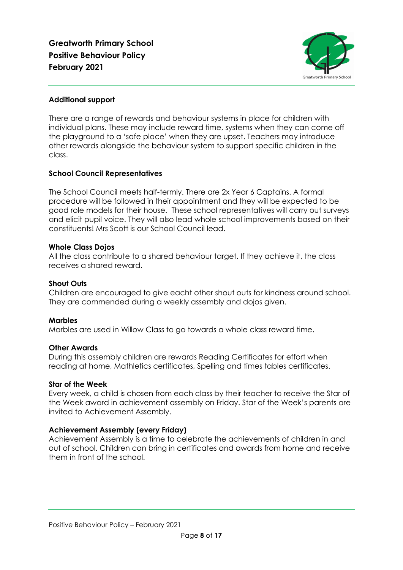

## **Additional support**

There are a range of rewards and behaviour systems in place for children with individual plans. These may include reward time, systems when they can come off the playground to a 'safe place' when they are upset. Teachers may introduce other rewards alongside the behaviour system to support specific children in the class.

## **School Council Representatives**

The School Council meets half-termly. There are 2x Year 6 Captains. A formal procedure will be followed in their appointment and they will be expected to be good role models for their house. These school representatives will carry out surveys and elicit pupil voice. They will also lead whole school improvements based on their constituents! Mrs Scott is our School Council lead.

## **Whole Class Dojos**

All the class contribute to a shared behaviour target. If they achieve it, the class receives a shared reward.

## **Shout Outs**

Children are encouraged to give eacht other shout outs for kindness around school. They are commended during a weekly assembly and dojos given.

## **Marbles**

Marbles are used in Willow Class to go towards a whole class reward time.

#### **Other Awards**

During this assembly children are rewards Reading Certificates for effort when reading at home, Mathletics certificates, Spelling and times tables certificates.

#### **Star of the Week**

Every week, a child is chosen from each class by their teacher to receive the Star of the Week award in achievement assembly on Friday. Star of the Week's parents are invited to Achievement Assembly.

## **Achievement Assembly (every Friday)**

Achievement Assembly is a time to celebrate the achievements of children in and out of school. Children can bring in certificates and awards from home and receive them in front of the school.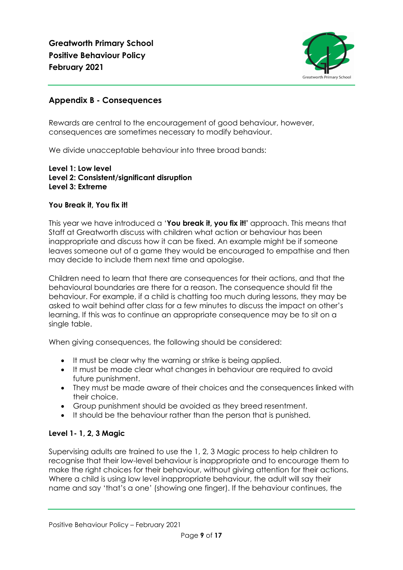

# **Appendix B - Consequences**

Rewards are central to the encouragement of good behaviour, however, consequences are sometimes necessary to modify behaviour.

We divide unacceptable behaviour into three broad bands:

#### **Level 1: Low level Level 2: Consistent/significant disruption Level 3: Extreme**

## **You Break it, You fix it!**

This year we have introduced a '**You break it, you fix it!'** approach. This means that Staff at Greatworth discuss with children what action or behaviour has been inappropriate and discuss how it can be fixed. An example might be if someone leaves someone out of a game they would be encouraged to empathise and then may decide to include them next time and apologise.

Children need to learn that there are consequences for their actions, and that the behavioural boundaries are there for a reason. The consequence should fit the behaviour. For example, if a child is chatting too much during lessons, they may be asked to wait behind after class for a few minutes to discuss the impact on other's learning. If this was to continue an appropriate consequence may be to sit on a single table.

When giving consequences, the following should be considered:

- It must be clear why the warning or strike is being applied.
- It must be made clear what changes in behaviour are required to avoid future punishment.
- They must be made aware of their choices and the consequences linked with their choice.
- Group punishment should be avoided as they breed resentment.
- It should be the behaviour rather than the person that is punished.

# **Level 1- 1, 2, 3 Magic**

Supervising adults are trained to use the 1, 2, 3 Magic process to help children to recognise that their low-level behaviour is inappropriate and to encourage them to make the right choices for their behaviour, without giving attention for their actions. Where a child is using low level inappropriate behaviour, the adult will say their name and say 'that's a one' (showing one finger). If the behaviour continues, the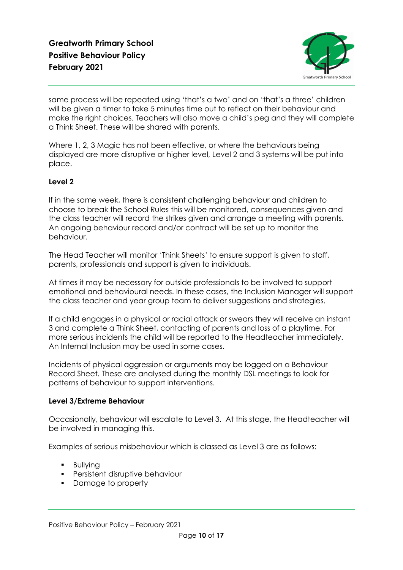

same process will be repeated using 'that's a two' and on 'that's a three' children will be given a timer to take 5 minutes time out to reflect on their behaviour and make the right choices. Teachers will also move a child's peg and they will complete a Think Sheet. These will be shared with parents.

Where 1, 2, 3 Magic has not been effective, or where the behaviours being displayed are more disruptive or higher level, Level 2 and 3 systems will be put into place.

# **Level 2**

If in the same week, there is consistent challenging behaviour and children to choose to break the School Rules this will be monitored, consequences given and the class teacher will record the strikes given and arrange a meeting with parents. An ongoing behaviour record and/or contract will be set up to monitor the behaviour.

The Head Teacher will monitor 'Think Sheets' to ensure support is given to staff, parents, professionals and support is given to individuals.

At times it may be necessary for outside professionals to be involved to support emotional and behavioural needs. In these cases, the Inclusion Manager will support the class teacher and year group team to deliver suggestions and strategies.

If a child engages in a physical or racial attack or swears they will receive an instant 3 and complete a Think Sheet, contacting of parents and loss of a playtime. For more serious incidents the child will be reported to the Headteacher immediately. An Internal Inclusion may be used in some cases.

Incidents of physical aggression or arguments may be logged on a Behaviour Record Sheet. These are analysed during the monthly DSL meetings to look for patterns of behaviour to support interventions.

## **Level 3/Extreme Behaviour**

Occasionally, behaviour will escalate to Level 3. At this stage, the Headteacher will be involved in managing this.

Examples of serious misbehaviour which is classed as Level 3 are as follows:

- Bullying
- **•** Persistent disruptive behaviour
- Damage to property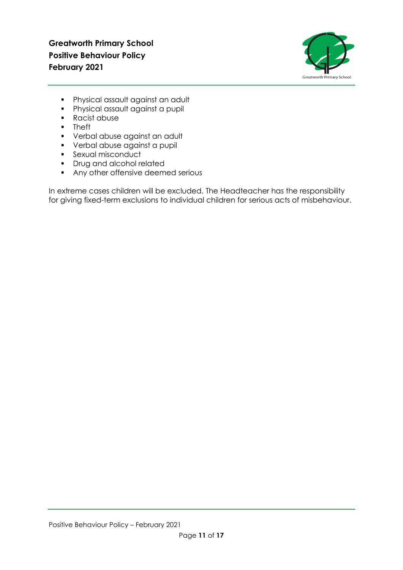

- Physical assault against an adult
- Physical assault against a pupil
- Racist abuse
- Theft
- Verbal abuse against an adult
- Verbal abuse against a pupil
- **•** Sexual misconduct
- Drug and alcohol related
- **•** Any other offensive deemed serious

In extreme cases children will be excluded. The Headteacher has the responsibility for giving fixed-term exclusions to individual children for serious acts of misbehaviour.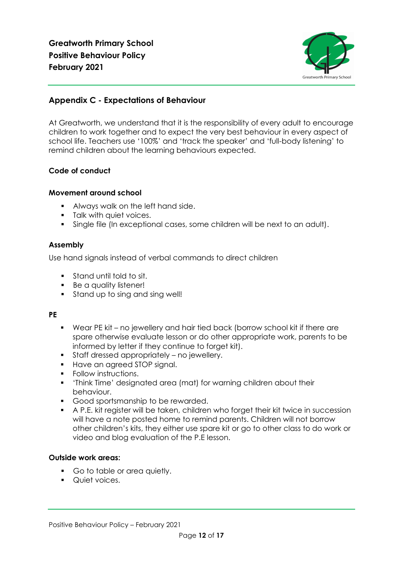

# **Appendix C - Expectations of Behaviour**

At Greatworth, we understand that it is the responsibility of every adult to encourage children to work together and to expect the very best behaviour in every aspect of school life. Teachers use '100%' and 'track the speaker' and 'full-body listening' to remind children about the learning behaviours expected.

# **Code of conduct**

## **Movement around school**

- Always walk on the left hand side.
- **•** Talk with quiet voices.
- Single file (In exceptional cases, some children will be next to an adult).

## **Assembly**

Use hand signals instead of verbal commands to direct children

- Stand until told to sit.
- Be a quality listener!
- Stand up to sing and sing well!

## **PE**

- Wear PE kit no jewellery and hair tied back (borrow school kit if there are spare otherwise evaluate lesson or do other appropriate work, parents to be informed by letter if they continue to forget kit).
- Staff dressed appropriately no jewellery.
- Have an agreed STOP signal.
- Follow instructions.
- 'Think Time' designated area (mat) for warning children about their behaviour.
- Good sportsmanship to be rewarded.
- A P.E. kit register will be taken, children who forget their kit twice in succession will have a note posted home to remind parents. Children will not borrow other children's kits, they either use spare kit or go to other class to do work or video and blog evaluation of the P.E lesson.

## **Outside work areas:**

- Go to table or area quietly.
- Quiet voices.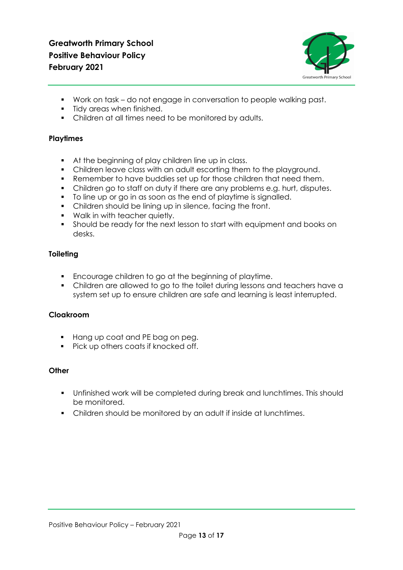

- Work on task do not engage in conversation to people walking past.
- **•** Tidy areas when finished.
- Children at all times need to be monitored by adults.

# **Playtimes**

- At the beginning of play children line up in class.
- Children leave class with an adult escorting them to the playground.
- Remember to have buddies set up for those children that need them.
- Children go to staff on duty if there are any problems e.g. hurt, disputes.
- To line up or go in as soon as the end of playtime is signalled.
- Children should be lining up in silence, facing the front.
- Walk in with teacher quietly.
- Should be ready for the next lesson to start with equipment and books on desks.

# **Toileting**

- Encourage children to go at the beginning of playtime.
- Children are allowed to go to the toilet during lessons and teachers have a system set up to ensure children are safe and learning is least interrupted.

# **Cloakroom**

- Hang up coat and PE bag on peg.
- Pick up others coats if knocked off.

## **Other**

- Unfinished work will be completed during break and lunchtimes. This should be monitored.
- Children should be monitored by an adult if inside at lunchtimes.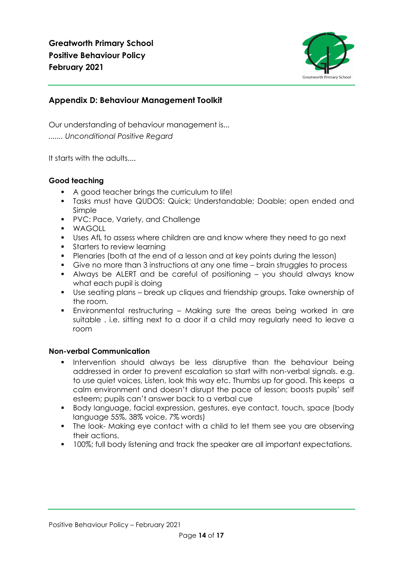

# **Appendix D: Behaviour Management Toolkit**

Our understanding of behaviour management is... *....... Unconditional Positive Regard*

It starts with the adults....

# **Good teaching**

- A good teacher brings the curriculum to life!
- Tasks must have QUDOS: Quick; Understandable; Doable; open ended and Simple
- PVC: Pace, Variety, and Challenge
- WAGOLL
- Uses AfL to assess where children are and know where they need to go next
- **•** Starters to review learning
- Plenaries (both at the end of a lesson and at key points during the lesson)
- Give no more than 3 instructions at any one time brain struggles to process
- Always be ALERT and be careful of positioning you should always know what each pupil is doing
- Use seating plans break up cliques and friendship groups. Take ownership of the room.
- Environmental restructuring Making sure the areas being worked in are suitable . i.e. sitting next to a door if a child may regularly need to leave a room

# **Non-verbal Communication**

- Intervention should always be less disruptive than the behaviour being addressed in order to prevent escalation so start with non-verbal signals. e.g. to use quiet voices, Listen, look this way etc. Thumbs up for good. This keeps a calm environment and doesn't disrupt the pace of lesson; boosts pupils' self esteem; pupils can't answer back to a verbal cue
- Body language, facial expression, gestures, eye contact, touch, space (body language 55%, 38% voice, 7% words)
- The look- Making eye contact with a child to let them see you are observing their actions.
- 100%; full body listening and track the speaker are all important expectations.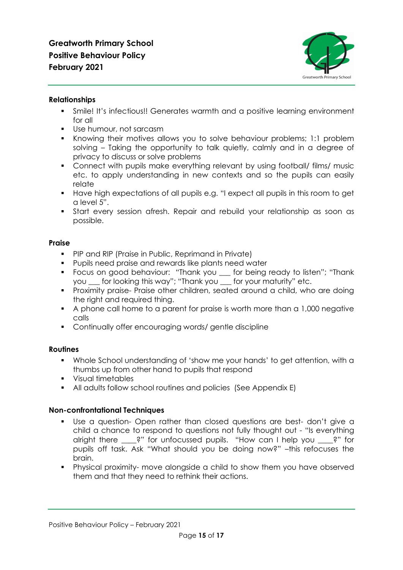

## **Relationships**

- Smile! It's infectious!! Generates warmth and a positive learning environment for all
- Use humour, not sarcasm
- Knowing their motives allows you to solve behaviour problems; 1:1 problem solving – Taking the opportunity to talk quietly, calmly and in a degree of privacy to discuss or solve problems
- Connect with pupils make everything relevant by using football/ films/ music etc. to apply understanding in new contexts and so the pupils can easily relate
- Have high expectations of all pupils e.g. "I expect all pupils in this room to get a level 5".
- **•** Start every session afresh. Repair and rebuild your relationship as soon as possible.

# **Praise**

- PIP and RIP (Praise in Public, Reprimand in Private)
- Pupils need praise and rewards like plants need water
- Focus on good behaviour: "Thank you \_\_\_ for being ready to listen"; "Thank you \_\_\_ for looking this way"; "Thank you \_\_\_ for your maturity" etc.
- Proximity praise- Praise other children, seated around a child, who are doing the right and required thing.
- A phone call home to a parent for praise is worth more than a 1,000 negative calls
- Continually offer encouraging words/ gentle discipline

# **Routines**

- Whole School understanding of 'show me your hands' to get attention, with a thumbs up from other hand to pupils that respond
- Visual timetables
- All adults follow school routines and policies (See Appendix E)

## **Non-confrontational Techniques**

- Use a question- Open rather than closed questions are best-don't give a child a chance to respond to questions not fully thought out - "Is everything alright there \_\_\_\_?" for unfocussed pupils. "How can I help you \_\_\_\_?" for pupils off task. Ask "What should you be doing now?" –this refocuses the brain.
- Physical proximity- move alongside a child to show them you have observed them and that they need to rethink their actions.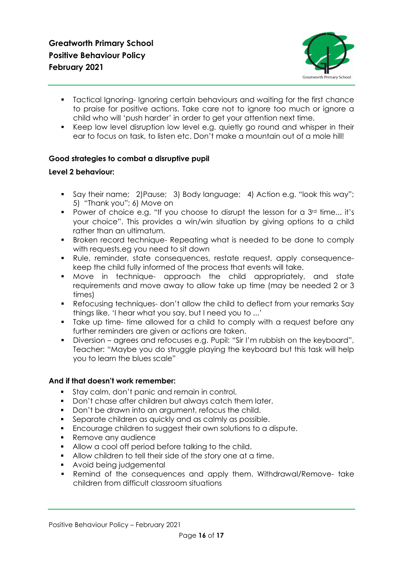

- Tactical Ignoring- Ignoring certain behaviours and waiting for the first chance to praise for positive actions. Take care not to ignore too much or ignore a child who will 'push harder' in order to get your attention next time.
- Keep low level disruption low level e.g. quietly go round and whisper in their ear to focus on task, to listen etc. Don't make a mountain out of a mole hill!

# **Good strategies to combat a disruptive pupil**

## **Level 2 behaviour:**

- Say their name; 2)Pause; 3) Body language; 4) Action e.g. "look this way"; 5) "Thank you"; 6) Move on
- Power of choice e.g. "If you choose to disrupt the lesson for a 3<sup>rd</sup> time... it's your choice". This provides a win/win situation by giving options to a child rather than an ultimatum.
- Broken record technique- Repeating what is needed to be done to comply with requests.eg you need to sit down
- Rule, reminder, state consequences, restate request, apply consequencekeep the child fully informed of the process that events will take.
- Move in technique- approach the child appropriately, and state requirements and move away to allow take up time (may be needed 2 or 3 times)
- Refocusing techniques-don't allow the child to deflect from your remarks Say things like, 'I hear what you say, but I need you to ...'
- Take up time- time allowed for a child to comply with a request before any further reminders are given or actions are taken.
- Diversion agrees and refocuses e.g. Pupil: "Sir I'm rubbish on the keyboard", Teacher: "Maybe you do struggle playing the keyboard but this task will help you to learn the blues scale"

## **And if that doesn't work remember:**

- Stay calm, don't panic and remain in control.
- Don't chase after children but always catch them later.
- Don't be drawn into an argument, refocus the child.
- Separate children as quickly and as calmly as possible.
- Encourage children to suggest their own solutions to a dispute.
- Remove any audience
- Allow a cool off period before talking to the child.
- Allow children to tell their side of the story one at a time.
- Avoid being judgemental
- Remind of the consequences and apply them. Withdrawal/Remove- take children from difficult classroom situations